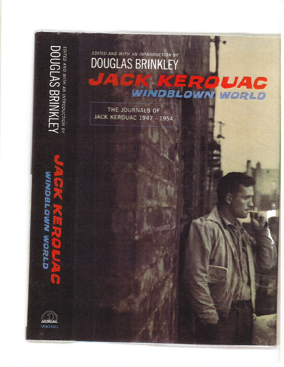EDUUGLAS BRINKLEY EDITED AND WITH AN INTRODUCTION BY DOUGLAS BRINKLEY má  $\equiv$ (m UAC WINDBLOWN WORLD T-EUOURNALS OF JACK KEROUAC 1947 - 1954

# **UNDBLOWN WORLD**  $\frac{1}{1}$

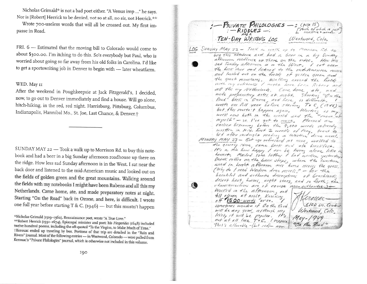Nicholas Grimald\* is not a bad poet either. "A Venus imp ..." he says. Nor is [Robert] Herrick to be denied, not so at all, no sir, not Herrick.\*\*

Wrote 700-useless words that will all be crossed out. My first impasse in Road.

FRI. 6 - Estimated that the moving bill to Colorado would come to about \$300.00. I'm itching to do this. So's everybody but Paul, who is worried about going so far away from his old folks in Carolina. I'd like to get a sportswriting job in Denver to begin with - later wheatfarm.

#### WED. May 11

After the weekend in Poughkeepsie at Jack Fitzgerald's, I decided, now, to go out to Denver immediately and find a house. Will go alone, hitch-hiking, in the red, red night. Harrisburg, Pittsburg, Columbus, Indianapolis, Hannibal Mo., St. Joe, Last Chance, & Denver.+

SUNDAY MAY 22 - Took a walk up to Morrison Rd. to buy this notebook and had a beer in a big Sunday afternoon roadhouse up there on the ridge. How less sad Sunday afternoon is in the West. I sat near the back door and listened to the mid-American music and looked out on the fields of golden green and the great mountains. Walking around the fields with my notebooks I might have been Rubens and all this my Netherlands. Came home, ate, and made preparatory notes at night. Starting "On the Road" back in Ozone, and here, is difficult. I wrote one full year before starting T & C,  $(1946)$  — but this mustn't happen

\*Nicholas Grimald (1519-1562), Rennaissance poet, wrote "A True Love."

\*\*Robert Herrick (1591-1674), Episcopal minister and poet; his Hesperides (1648) included twelve hundred poems, including the oft-quoted "To the Virgins, to Make Much of Time." †Kerouac ended up traveling by bus. Portions of that trip are detailed in the "Rain and Rivers" journal. Most of the following entries - in Westwood, Colorado - were pulled from Kerouac's "Private Philologies" journal, which is otherwise not included in this volume.

 $PRIVATE$  PHILOLOGIES -  $(104)$  IS TEN-DAY WRITING LOG Westwood, Colo, LOG SUNDAY MAY 22 - TOOK a walk up to Morrison Ed. to buy This notebook and had a beer in a big Sunday afternoon roadhouse up there on the ridge. How less sad Sunday afternoon is in the West. I set near The back chor and listened to the mid-American music and looked out on the fields of golden green and the great mountains. Walking around the fields with my notebooks I might have been Rubens and all this my Netherlands, Came home, ate, and mode preparatory notes at night. Starting "On the Road book in Crome, and here, is difficult. wrote one full year before starting To C, (1946)but this mostn't happen again. Writing is my werk now both in the world and the "moor of myself" - so I've got to move. Planned an carlier beginning before the 8,000 words already written in N.Y. first 2 weeks of May, Went to bed after inidiaght reading a western dime novel. MONDAY MAY 23 - Got up refreshed at mne, wolked to the grocery store, came back and the breakfast. 1713 a sin how happy I can be living alone like a hermit. Maled some letters I had written yesterday. Drank coffee on the back steps, where the Western wind in bright afternoon airs hums acress the gress. ( Why do I read Western done nevels? - for the beautiful and authoritie descriptions of Conchlands. desert heat, horses, night stars, and so forth; the  $characterization$  are of course non-authortic.) + Worked in the afternoon, and All eleven at night, Knocking Derouge off 1500-words orso. 6100 W. Couter sometimes wonder if On the Read will be any good, although very Westwood, Colo likely it will be popular. It's May-1949 not at all like T.C. I suppose "On The Hoad" That's allowable - (but sad) - now.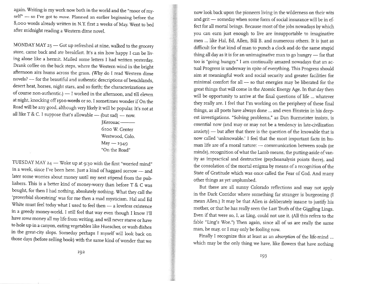again. Writing is my work now both in the world and the "moor of myself" — so I've got to *move*. Planned an earlier beginning before the 8,ooo words already written in N.y. first z weeks of May. went to bed after midnight reading a Western dime novel.

MONDAY MAY 23 — Got up refreshed at nine, walked to the grocery store, came back and ate breakfast. It's a sin how happy I can be living alone like a hermit. Mailed some letters I had written yesterday. Drank coffee on the back steps, where the western wind in the bright aftemoon airs hums across the grass. (why do I read western dime  $\frac{1}{100}$  movels? — for the beautiful and authentic descriptions of benchlands, desert heat, horses, night stars, and so forth; the characterizations are of course non-authentic.) — I worked in the afternoon, and till eleven<br>at night, knocking off and a mandature of at night, knocking off 1500-words or so. I sometimes wonder if On the Road will be any good, although very likely itwill be popular. It's not at all like T & C. I suppose that's allowable — (but sad) — now.<br>University

JKerouac-6roo W. Center Westwood, Colo. May — 1949<br>"On the Pard "On the Road"

TUESDAY MAY 24 — Woke up at 9:30 with the first "worried mind"<br>in a world site of line death of the state of the state of the state of the state of the state of the state of in a week, since I've been here. Just a kind of haggard sorrow - and later some worries about money until my next stipend from the publishers. This is a better kind of money-worry than before T & C was bought, for then I had nothing, absolutely nothing. what they call the 'proverbial shoestring'was for me then a mad. mysticism. Hal and Ed White must feel today what I used to feel then — a loveless existence<br>in a greedy money world. Latill fool that was away il. \_\_1\_1\_1\_\_\_\_\_\_\_\_\_\_\_\_\_\_\_\_\_\_ in a greedy money-world. I still feel that way even though I know I'll have some money all my life from writing, and will never starve or have to hole up in a canyon, eating vegetables like Huescher, or wash dishes in the great-city slops. Someday perhaps I myself will look back on those days (before selling book) with the same kind of wonder that we

now look back upon the pioneers living in the wilderness on their wits and grit - someday when some form of social insurance will be in effect for all mortal beings. Because most of the jobs nowadays by which you can earn just enough to live are insupportable to imaginative men ... like Hal, Ed, Allen, Bill B. and numerous others. It is just as difficult for that kind of man to punch a clock and do the same stupid thing all day as it is for an unimaginative man to go hungry — for that unng an day as it is for an unimagmative man to go nungry — for that<br>too is "going hungry." I am continually amazed nowadays that an actual Progress is underway in spite of everything. This Progress should aim at meaningful work and social security and greater facilities for minimal comfort for all — so that energies may be liberated for the<br>great things that will same in the Atomia France Associated by the d great things that will come in the Atomic Energy Age. In that day then will be opportunity to arrive at the final questions of life ... whatever they really are. I feel that I'm working on the periphery of these final things, as all poets have always done ... and even Einstein in his deepest investigations. "Solving problems," as Dan Burmeister insists, is essential now (and may or may not be a tendency in late-civilization anxiety) — but after that there is the question of the knowable that is<br>recursed to the results of a label that is now called 'unknowable.' I feel that the most important facts in human life are of a moral neture: - communication between souls (or minds), recognition of what the Lamb means, the putting-aside of vanity as impractical and destructive (psychoanalysis points there), and the consolation of the mortal enigma by means of a recognition of the State of Gratitude which was once called the Fear of God. And many other things as yet unplumbed.

But these are all sunny Colorado reflections and may not apply in the Dark Corridor where something far stranger is burgeoning (I mean Allen.) It may be that Allen is deliberately insane to justify his mother, or that he has really seen the Last Truth of the Giggling Lings. Even if that tvere so, I, as Ling, could not use it. (All this refers to the fable "Ling's Woe.") Then again, since all of us are really the same man, he may, or I may only be fooling now.

Finally I recognize this at least as an absorption of the life-mind ... which may be the only thing we have, like flowers that have nothing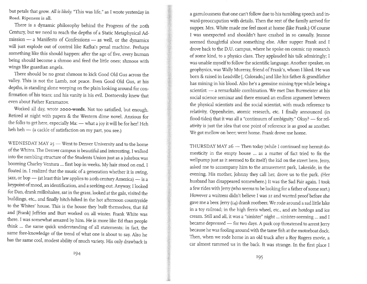but petals that grow. All is likely. "This was life," as I wrote yesterday in Road. Ripeness is all.

There is a dynamic philosophy behind the progress of the zoth Century, but we need to reach the depths of a Static Metaphysical Admission — a Manifesto of Confessions — as well, or the dynamics mission — a mannesto or comessions — as well, or the dynamics<br>will just explode out of control like Kafka's penal machine. Perhaps something like this should happen: after the age of five, every human being should become a shmoo and feed the little ones; shmoos with wings like guardian angels.

There should be no great shmoos to kick Good Old Gus across the valley. This is not the Lamb, not peace. Even Good Old Gus, at his depths, is standing alone weeping on the plain looking around for confirmation of his tears; and his vanity is his evil. Dostoevsky knew that even about Father Karamazov.

Worked all day, wrote 2ooo-words. Not too satisfied, but enough. Retired at night with papers & the Western dime novel. Anxious for the folks to get here, especially Ma: — what a joy it will be for her! Heh ne forks to get flere, especially Ma: — what a joy it will be<br>heh heh — (a cackle of satisfaction on my part, you see.)

WEDNESDAY MAY z5 Went to Denver Universíty and to the home wedivesdar Mar 25 — went to denver University and to the home<br>of the Whites. The Denver campus is beautiful and interesting. I walked into the rambling structure of the Students Union just as a jukebox was booming charley Ventura ... first bop in weeks. My hair stood on end. I floated in. I realized that the music of a generation whether it is swing, jazz, orbop - (at least this law applies to zoth century America) is a azz, or bophications are applies to zour century America) — is a<br>keypoint of mood, an identification, and a seeking-out. Anyway, I looked for Dan, drank milkshakes, sat in the grass, looked at the gals, visited the buildings, etc., and finally hitch-hiked in the hot afternoon countryside to the whites' house. This is the house they built themselves, that Ed and [Frank] Jeffries and Burt worked on all winter. Frank White was there. I was somewhat amazed by him. He is more like Ed than people think ... the same quick understanding of all statements; in fact, the same fore-knowledge of the trend of what one is about to say. Also he has the same cool, modest ability of much variety. His only drawback is

a garrulousness that one can't follow due to his tumbling speech and inward-preoccupation with details. Then the rest of the family arrived for supper. Mrs. White made me feel most at home (like Frank.) Of course I was unexpected and shouldn't have crashed in so casually. Jeanne seemed thoughtful about something else. After supper Frank and I drove back to the D.U. campus, where he spoke on cosmic ray research of some kind, to a physics class. They applauded his talk admiringly; I was unable myself to follow the scientific language. Another speaker, on geophysics, was Wally Mureray, friend of Frank's, whom I liked. He was born & raised in Leadville [, Colorado,] and like his father & grandfather has mining in his blood. Also he's a genuine mining type while being a scientist: --- a remarkable combination. We met Dan Burmeister at his scienust: --- a remarkable combination. we met Dan Burmeister at his<br>social science seminar and there ensued an endless argument betweer. the physical scientists and the social scientist, with much reference to relativity, Oppenheim, atomic research, etc. I finally announced (in flood-tides) that it was all a "continuum of ambiguity." Okay? — for relnood-ndes) that it was an a "continuum of ambiguity." Okay: — for rei-<br>ativity is just the idea that one point of reference is as good as another. 'We got mellow on beer; went home. Frank drove me home.

THURSDAY MAY z6 - Then today (while I continued my hermit domesticity in the empty house ... as a matter of fact tried to fix the wellpump just as it seemed to fix itself) the kid on the street here, ferry asked me to accompany him to the amusement park, Lakeside, in the evening. His mother, Johnny they call her, drove us to the park. (Her husband has disappeared somewhere.) It was the Sad Fair again. I took a few rides with Jerry (who seems to be looking for a father of some sort.) However a waitress didn't believe I was 21 and wanted proof before she gave me a beer. Jerry (14) drank rootbeer. We rode around a sad little lake in a toy railroad; in the high ferris wheel, etc., and ate hotdogs and ice cream. Still and all, it was a "sinister" night ... sinister-seeming ... and I became depressed — for two days. A park cop threatened to arrest Jerry<br>because he was feeling susundarith that two Columbia because he was fooling around with the tame fish at the motorboat dock. Then, when we rode home in an old truck after a Roy Rogers movie, <sup>a</sup> car almost rammed us in the back. It was strange. In the first place I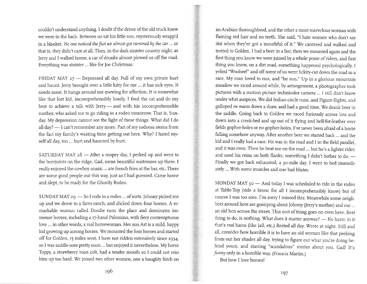couldn't understand anything. I doubt if the driver of the old truck knew we were in the back. Between us sat his little son, mysteriously wrapp'd in a blanket. No one noticed the fact we almost got rammed by the car ... or that is, they didn't care at all. Then, in the dark sinister country night, as Jerry and I walked home, a car of drunks almost plowed us off the road. Everything was sinister ... like for foe Christmas.

FRIDAY MAY z7 Depressed all day. Full of my own private hurt and haunt. )erry brought over a little kitty for me ... it has sick eyes. It needs meat. It hangs around me mewing for affection. It is somewhat like that lost kid, incomprehensibly lonely. I feed the cat and do my best to achieve a talk with Jerry — and with his incomprehensible<br>and the solar durate as widing in a under temperature. That is four mother, who asked me to go riding in a rodeo tomorrow. That is, Sunday. My depression cannot see the light of these things. What did I do all day? — I can't remember any more. Part of my sadness stems from<br>the fact use family's reating time atting out have Why) I hated my the fact my family's wasting time getting out here. Why? I hated myself all day, too ... hurt and haunted by hurt.

 $SATURDAY$   $MAX \ 28$   $—$  After a mopey day, I perked up and went to the character and in the character  $S^1$ the beerjoints on the ridge. Gad, some beautiful waitresses up there. I really enjoyed the cowboy music ... ate french fries at the bar, etc. There are some good peopie out this way, just as I had guessed. Came home and slept, to be ready for the Ghostly Rodeo.

SUNDAY MAY z9 - So I rode in a rodeo ... of sorts. fohnny pid<ed me up and we drove to a farm-ranch, and slidced down four horses. A remarkable woman calied Doodie runs the place and dominates immense horses, including a 17-hand Palomino, with fiery contemptuous love ... in other words, a real horsewoman. Her son Art is a mild, happy kid growing up among horses. We mounted the four horses and started off for Golden, 15 miles west. I have not ridden extensively since 1934, so I was saddle-sore pretty soon ... but enjoyed it nevertheless. My horse Toppy, a strawberry roan colt, had a tender mouth so I could not rein him up too hard. We joined two other women, one a haughty bitch on

an Arabian thoroughbred, and the other a most marvelous woman with flaming red hair and no teeth. She said, "I hate women who don't say shit when they've got a mouthful of it." We cantered and walked and trotted to Golden. I had a beer in a bar; then we mounted again and the first thing you know we were joined by a whole posse of riders, and first thing you know, on a dirt road, something happened psychologically, I yelled "Woohee!" and off some of us went lickity-cut down the road in a race. My roan loved to run, and "he run." Up in a glorious mountain meadow we raced around while, by arrangement, a photographer took pictures with a motion picture technicolor camera ... I still don't know under what auspices. We did Indian-circle runs, and Figure-Eights, and galloped en masse down a draw, and had a good time. We drank beer in the saddle. Going back to Golden we raced furiously across lots and down into a creek-bed and up out of it flying and hell-for-leather over fields gopher-holes or no gopher-holes. I've never been afraid ofa horse falling somehow anyway. After another beer we started back ... and the kid and I really had a race. He was in the road and I in the field parallel, and it was even. Then he beat me on the road ... but he's a lighter rider, and used his reins on both flanks, something I didn't bother to do. -Finally we got back exhausted, a 30-mile day. I went to bed immediately ... With some muscles and one bad blister.

MONDAY MAY 30 — And today I was scheduled to ride in the rodeo<br>at Table Ten (ride a brane for all Li at Täble-Top (ride a bronc for all I incomprehensibly know) but of course I was too sore. I'm sorry I missed this. Meanwhile some neighbors around here are gossiping about Johnny (Jerry's mother) and me ... an old hen across the street. This sort of thing goes on even here. Best thing to do, is nothing. What does it matter anyway? No harm in it aling to do, is houning. what does it matter anyway? — No harm in it<br>that's *real* harm (like jail, etc.) Rested all day. Wrote at night. Still and all, consider how horrible it is to have an old woman like that peeking from out her shades all day, trying to figure out what you're doing behind yours, and starting "scandalous" stories about you. Gad! It's funny only in a horrible way. (Francis Martin.)

But how I love horses!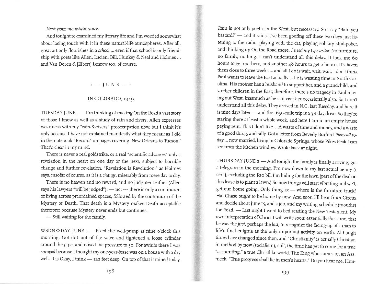Next year: mountain ranch.

And tonight re-examined my literary life and I'm worried somewhat about losing touch with it in these natural-life atmospheres. After all, great art only flourishes in a school ... even if that school is only friendship with poets like Allen, Lucien, Bill, Hunkey & Neal and Holmes ... and Van Doren & [Elbert] Lenrow too, of course.

# $: -$  J U N E  $-$  :

# IN COLORADO, 1949

TUESDAY JUNE 1 — I'm thinking of making On the Road a vast story - of those I know as well as a study of rain and rivers. Allen expresses weariness with my "rain-&-rivers" preoccupation now, but I think it's only because I have not explained manifestly what they mean: as I did in the notebook "Record" on pages covering 'New Orleans to Tucson.' That's clear in my mind.

There is never a real goldstrike, or a real "scientific advance," only <sup>a</sup> revelation in the heart on one day or the next, subject to horrible change and further revelation. "Revelation is Revolution," as Holmes says, insofar of course, as it is a chønge, miserably from mere day to day.

There is no heaven and no reward, and no judgment either (Allen says his lawyers "will be judged"): — no: — there is only a continuum<br>of living agrees preordeined spaces, followed by the appticulated full of living across preordained spaces, followed by the continuum of the Mystery of Death. That death is a Mystery makes Death acceptable therefore; because Mystery never ends but continues.

— Still waiting for the family.

WEDNESDAY fUNE r Fixed the well-pump at nine o'clock this wednesday fone i — rixed the well-pump at nine o'clock this<br>morning. Got dirt out of the valve and tightened a loose cylinder around the pipe, and raised the pressure to 5o. For awhile there I was enraged because I thought my one-year-lease was on a house with a dry well. It is Okay, I think - 122 feet deep. On top of that it rained today.

Rain is not only poetic in the west, but necessary. so I say "Rain you bastard!" — and it rains. I've been goofing off these two days just lis-<br>taring to the collinear in the collection of the collection of the collection of the collection of the collect tening to the radio, playing with the cat, playing solitary stud\_poker, and thinking up On the Road more. I need my typewriter. No furniture, no family, nothing. I can't understand all this delay. It tool< me 6o hours to get out here, and another 48 hours to get a house. It's taken them close to three weeks ... and all I do is wait, wait, wait. I don't think Paul wants to leave the East actually ... he is wasting time in North Carolina. His mother has a husband to support her, and a grandchild, and z other children in the East; therefore, there's no tragedy in paul moving out west, inasmuch as he can visit her occasionally also. so I don't understand all this delay. They arrived in N.c. Iast Tuesday, and here it is nine days later - and the 165o-mile trip is a 3% day drive. so they're staying there at least a whole week, and here I am in an empty house paying rent. This I don't like ... A waste of time and money, and a waste of a good thing, and silly. Got a letter from Beverly Burford Pierceall today ... now married, living in Colorado Springs, whose Pikes Peak I can see from the kitchen window. Wrote back at night.

THURSDAY JUNE  $2$  — And tonight the family is finally arriving; got<br>a telegram in the magning.  $V_{\text{max}}$ <sup>a</sup>telegram in the morning. I'm now down to my last actual penny (r cent), excluding the \$20 bill I'm hiding for the lawn (part of the deal on this lease is to plant a lawn.) So now things will start vibrating and we'll get our home going. Only thing is: — where is the furniture truck? Hal Chase ought to be home by now. And soon I'll hear from Giroux and decide about June 15, and a job, and my writing-schedule (months) for Road. — Last night I went to bed reading the New Testament. My own interpretation of christ I will write soon: essentially the same, that he was the first, perhaps the last, to recognize the facing-up of a man to life's final enigma as the only important activity on earth. Although times have changed since then, and "christianity" is actually christian in method by now (socialism), still, the time has yet to come for a true "accounting," a true Christlike world. The King who comes on an Ass, meek. "True progress shall lie in men's hearts." Do you hear me, Hun-